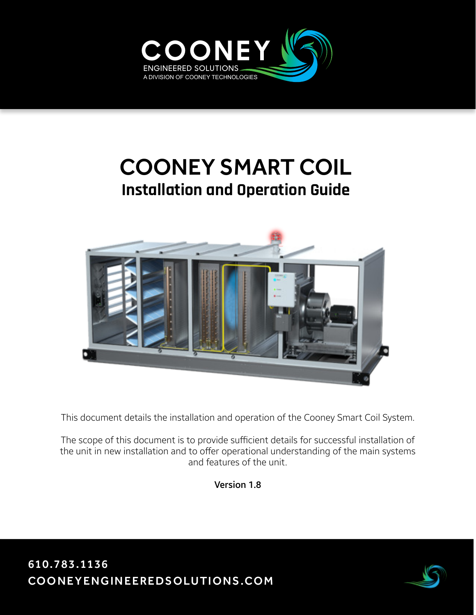

# COONEY SMART COIL **Installation and Operation Guide**



This document details the installation and operation of the Cooney Smart Coil System.

The scope of this document is to provide sufficient details for successful installation of the unit in new installation and to offer operational understanding of the main systems and features of the unit.

Version 1.8

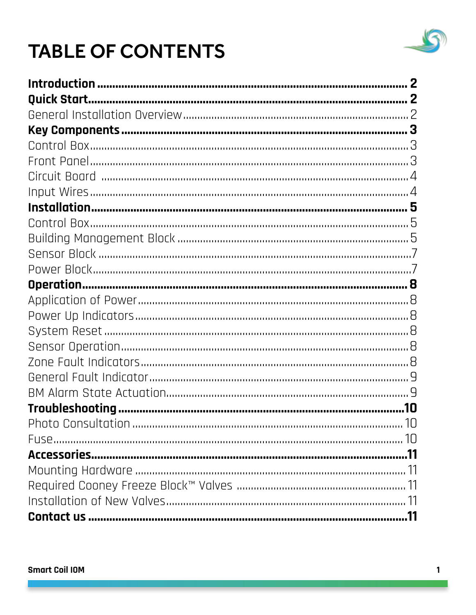

# **TABLE OF CONTENTS**

| $\boldsymbol{p}$ |
|------------------|
|                  |
|                  |
|                  |
|                  |
|                  |
|                  |
|                  |
|                  |
|                  |
|                  |
|                  |
|                  |
|                  |
|                  |
|                  |
|                  |
|                  |
|                  |
|                  |
|                  |
|                  |
|                  |
|                  |
|                  |
|                  |
|                  |
|                  |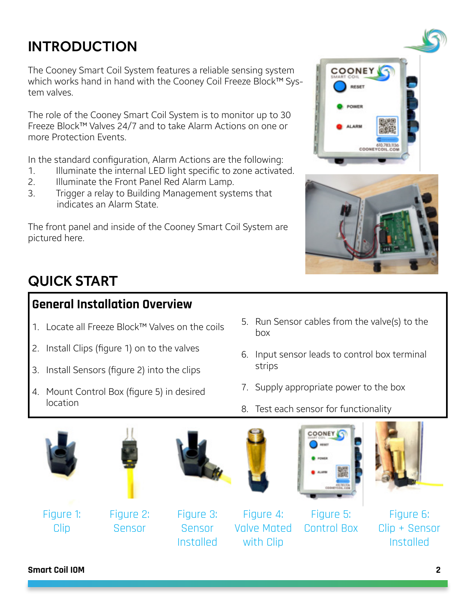# <span id="page-2-0"></span>INTRODUCTION

The Cooney Smart Coil System features a reliable sensing system which works hand in hand with the Cooney Coil Freeze Block™ System valves.

The role of the Cooney Smart Coil System is to monitor up to 30 Freeze Block™ Valves 24/7 and to take Alarm Actions on one or more Protection Events.

In the standard configuration, Alarm Actions are the following:

- 1. Illuminate the internal LED light specific to zone activated.
- 2. Illuminate the Front Panel Red Alarm Lamp.
- 3. Trigger a relay to Building Management systems that indicates an Alarm State.

The front panel and inside of the Cooney Smart Coil System are pictured here.





# QUICK START

## **General Installation Overview**

- 1. Locate all Freeze Block™ Valves on the coils
- 2. Install Clips (figure 1) on to the valves
- 3. Install Sensors (figure 2) into the clips
- 4. Mount Control Box (figure 5) in desired location
- 5. Run Sensor cables from the valve(s) to the box
- 6. Input sensor leads to control box terminal strips
- 7. Supply appropriate power to the box
- 8. Test each sensor for functionality





Figure 1: Clip

Figure 2: Sensor



Figure 3: Sensor Installed

Figure 4: Valve Mated with Clip





Control Box



Figure 6: Clip + Sensor Installed

**Smart Coil IOM 2**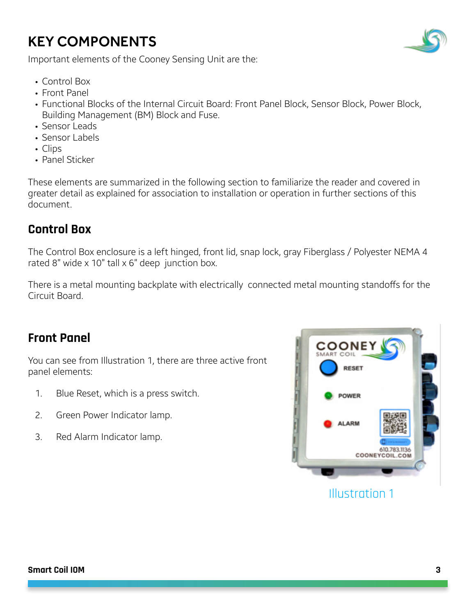# <span id="page-3-0"></span>KEY COMPONENTS



Important elements of the Cooney Sensing Unit are the:

- Control Box
- Front Panel
- Functional Blocks of the Internal Circuit Board: Front Panel Block, Sensor Block, Power Block, Building Management (BM) Block and Fuse.
- Sensor Leads
- Sensor Labels
- Clips
- Panel Sticker

These elements are summarized in the following section to familiarize the reader and covered in greater detail as explained for association to installation or operation in further sections of this document.

### **Control Box**

The Control Box enclosure is a left hinged, front lid, snap lock, gray Fiberglass / Polyester NEMA 4 rated 8" wide  $\times$  10" tall  $\times$  6" deep junction box.

There is a metal mounting backplate with electrically connected metal mounting standoffs for the Circuit Board.

### **Front Panel**

You can see from Illustration 1, there are three active front panel elements:

- 1. Blue Reset, which is a press switch.
- 2. Green Power Indicator lamp.
- 3. Red Alarm Indicator lamp.



Illustration 1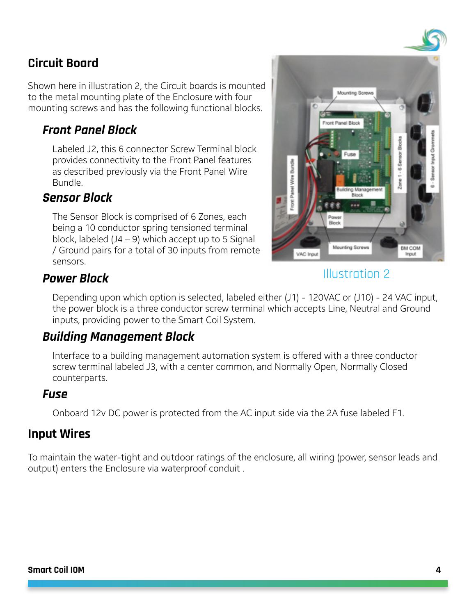### <span id="page-4-0"></span>**Circuit Board**

Shown here in illustration 2, the Circuit boards is mounted to the metal mounting plate of the Enclosure with four mounting screws and has the following functional blocks.

### **Front Panel Block**

Labeled J2, this 6 connector Screw Terminal block provides connectivity to the Front Panel features as described previously via the Front Panel Wire Bundle.

#### **Sensor Block**

The Sensor Block is comprised of 6 Zones, each being a 10 conductor spring tensioned terminal block, labeled (J4 – 9) which accept up to 5 Signal / Ground pairs for a total of 30 inputs from remote sensors.



### Illustration 2

### **Power Block**

Depending upon which option is selected, labeled either (J1) - 120VAC or (J10) - 24 VAC input, the power block is a three conductor screw terminal which accepts Line, Neutral and Ground inputs, providing power to the Smart Coil System.

#### **Building Management Block**

Interface to a building management automation system is offered with a three conductor screw terminal labeled J3, with a center common, and Normally Open, Normally Closed counterparts.

#### **Fuse**

Onboard 12v DC power is protected from the AC input side via the 2A fuse labeled F1.

#### **Input Wires**

To maintain the water-tight and outdoor ratings of the enclosure, all wiring (power, sensor leads and output) enters the Enclosure via waterproof conduit .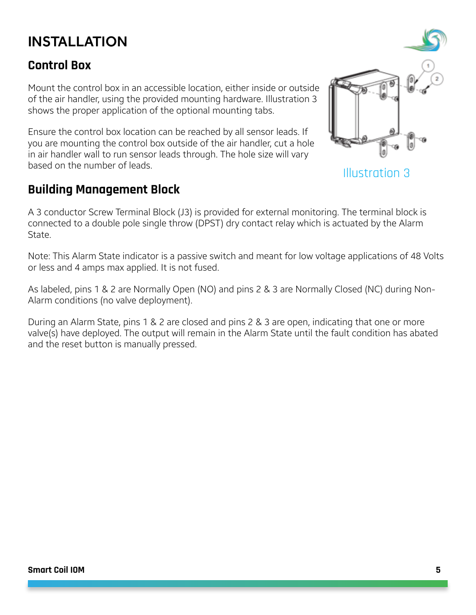# <span id="page-5-0"></span>INSTALLATION

### **Control Box**

Mount the control box in an accessible location, either inside or outside of the air handler, using the provided mounting hardware. Illustration 3 shows the proper application of the optional mounting tabs.

Ensure the control box location can be reached by all sensor leads. If you are mounting the control box outside of the air handler, cut a hole in air handler wall to run sensor leads through. The hole size will vary based on the number of leads.<br> **Illustration 3** 

### **Building Management Block**

A 3 conductor Screw Terminal Block (J3) is provided for external monitoring. The terminal block is connected to a double pole single throw (DPST) dry contact relay which is actuated by the Alarm State.

Note: This Alarm State indicator is a passive switch and meant for low voltage applications of 48 Volts or less and 4 amps max applied. It is not fused.

As labeled, pins 1 & 2 are Normally Open (NO) and pins 2 & 3 are Normally Closed (NC) during Non-Alarm conditions (no valve deployment).

During an Alarm State, pins 1 & 2 are closed and pins 2 & 3 are open, indicating that one or more valve(s) have deployed. The output will remain in the Alarm State until the fault condition has abated and the reset button is manually pressed.

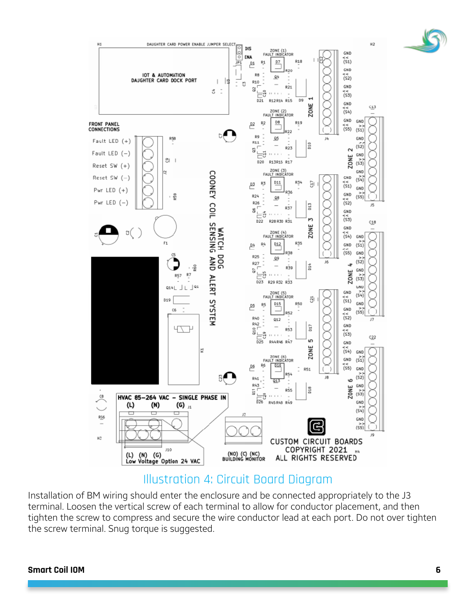

Illustration 4: Circuit Board Diagram

Installation of BM wiring should enter the enclosure and be connected appropriately to the J3 terminal. Loosen the vertical screw of each terminal to allow for conductor placement, and then tighten the screw to compress and secure the wire conductor lead at each port. Do not over tighten the screw terminal. Snug torque is suggested.

#### **Smart Coil IOM 6**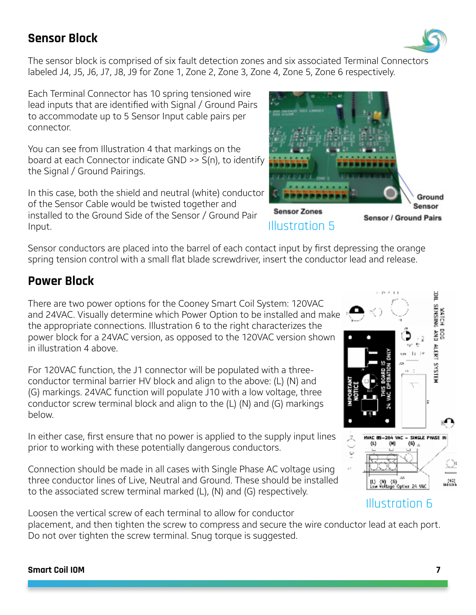### <span id="page-7-0"></span>**Sensor Block**

The sensor block is comprised of six fault detection zones and six associated Terminal Connectors labeled J4, J5, J6, J7, J8, J9 for Zone 1, Zone 2, Zone 3, Zone 4, Zone 5, Zone 6 respectively.

Each Terminal Connector has 10 spring tensioned wire lead inputs that are identified with Signal / Ground Pairs to accommodate up to 5 Sensor Input cable pairs per connector.

You can see from Illustration 4 that markings on the board at each Connector indicate GND >> S(n), to identify the Signal / Ground Pairings.

In this case, both the shield and neutral (white) conductor of the Sensor Cable would be twisted together and installed to the Ground Side of the Sensor / Ground Pair Input.

Sensor conductors are placed into the barrel of each contact input by first depressing the orange spring tension control with a small flat blade screwdriver, insert the conductor lead and release.

## **Power Block**

There are two power options for the Cooney Smart Coil System: 120VAC and 24VAC. Visually determine which Power Option to be installed and make the appropriate connections. Illustration 6 to the right characterizes the power block for a 24VAC version, as opposed to the 120VAC version shown in illustration 4 above.

For 120VAC function, the J1 connector will be populated with a threeconductor terminal barrier HV block and align to the above: (L) (N) and (G) markings. 24VAC function will populate J10 with a low voltage, three conductor screw terminal block and align to the (L) (N) and (G) markings below.

In either case, first ensure that no power is applied to the supply input lines prior to working with these potentially dangerous conductors.

Connection should be made in all cases with Single Phase AC voltage using three conductor lines of Live, Neutral and Ground. These should be installed to the associated screw terminal marked (L), (N) and (G) respectively.

Loosen the vertical screw of each terminal to allow for conductor

placement, and then tighten the screw to compress and secure the wire conductor lead at each port. Do not over tighten the screw terminal. Snug torque is suggested.







ë

WATCH I<br>SENSING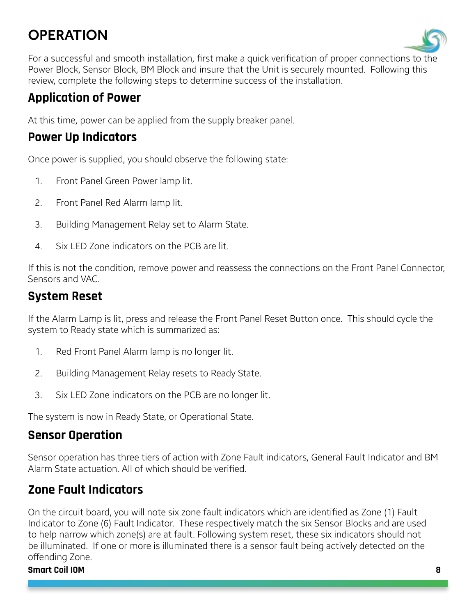# <span id="page-8-0"></span>**OPERATION**



For a successful and smooth installation, first make a quick verification of proper connections to the Power Block, Sensor Block, BM Block and insure that the Unit is securely mounted. Following this review, complete the following steps to determine success of the installation.

## **Application of Power**

At this time, power can be applied from the supply breaker panel.

### **Power Up Indicators**

Once power is supplied, you should observe the following state:

- 1. Front Panel Green Power lamp lit.
- 2. Front Panel Red Alarm lamp lit.
- 3. Building Management Relay set to Alarm State.
- 4. Six LED Zone indicators on the PCB are lit.

If this is not the condition, remove power and reassess the connections on the Front Panel Connector, Sensors and VAC.

## **System Reset**

If the Alarm Lamp is lit, press and release the Front Panel Reset Button once. This should cycle the system to Ready state which is summarized as:

- 1. Red Front Panel Alarm lamp is no longer lit.
- 2. Building Management Relay resets to Ready State.
- 3. Six LED Zone indicators on the PCB are no longer lit.

The system is now in Ready State, or Operational State.

### **Sensor Operation**

Sensor operation has three tiers of action with Zone Fault indicators, General Fault Indicator and BM Alarm State actuation. All of which should be verified.

# **Zone Fault Indicators**

On the circuit board, you will note six zone fault indicators which are identified as Zone (1) Fault Indicator to Zone (6) Fault Indicator. These respectively match the six Sensor Blocks and are used to help narrow which zone(s) are at fault. Following system reset, these six indicators should not be illuminated. If one or more is illuminated there is a sensor fault being actively detected on the offending Zone.

#### **Smart Coil IOM 8**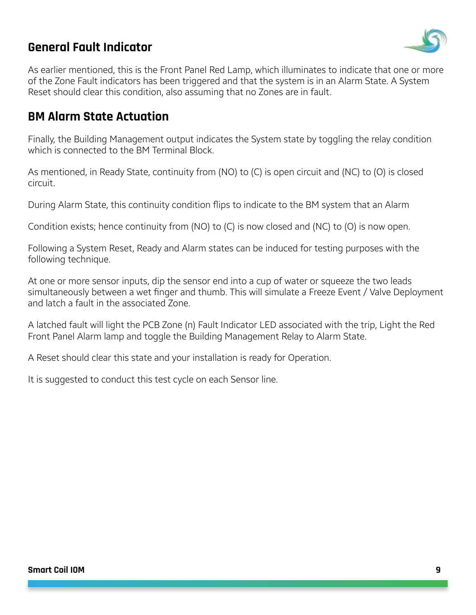### <span id="page-9-0"></span>**General Fault Indicator**



As earlier mentioned, this is the Front Panel Red Lamp, which illuminates to indicate that one or more of the Zone Fault indicators has been triggered and that the system is in an Alarm State. A System Reset should clear this condition, also assuming that no Zones are in fault.

### **BM Alarm State Actuation**

Finally, the Building Management output indicates the System state by toggling the relay condition which is connected to the BM Terminal Block.

As mentioned, in Ready State, continuity from (NO) to (C) is open circuit and (NC) to (O) is closed circuit.

During Alarm State, this continuity condition flips to indicate to the BM system that an Alarm

Condition exists; hence continuity from (NO) to (C) is now closed and (NC) to (O) is now open.

Following a System Reset, Ready and Alarm states can be induced for testing purposes with the following technique.

At one or more sensor inputs, dip the sensor end into a cup of water or squeeze the two leads simultaneously between a wet finger and thumb. This will simulate a Freeze Event / Valve Deployment and latch a fault in the associated Zone.

A latched fault will light the PCB Zone (n) Fault Indicator LED associated with the trip, Light the Red Front Panel Alarm lamp and toggle the Building Management Relay to Alarm State.

A Reset should clear this state and your installation is ready for Operation.

It is suggested to conduct this test cycle on each Sensor line.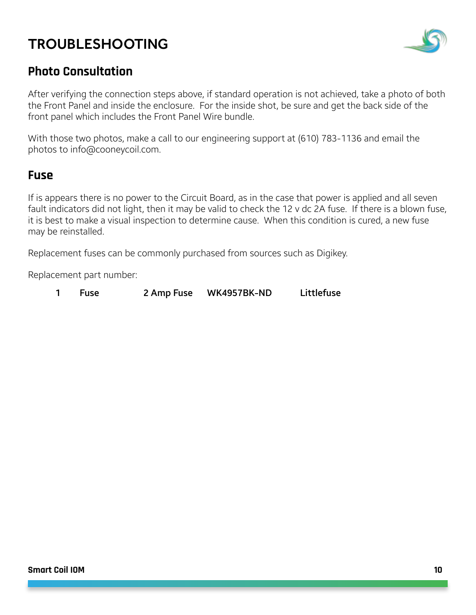# <span id="page-10-0"></span>TROUBLESHOOTING



### **Photo Consultation**

After verifying the connection steps above, if standard operation is not achieved, take a photo of both the Front Panel and inside the enclosure. For the inside shot, be sure and get the back side of the front panel which includes the Front Panel Wire bundle.

With those two photos, make a call to our engineering support at (610) 783-1136 and email the photos to info@cooneycoil.com.

#### **Fuse**

If is appears there is no power to the Circuit Board, as in the case that power is applied and all seven fault indicators did not light, then it may be valid to check the 12 v dc 2A fuse. If there is a blown fuse, it is best to make a visual inspection to determine cause. When this condition is cured, a new fuse may be reinstalled.

Replacement fuses can be commonly purchased from sources such as Digikey.

Replacement part number:

1 Fuse 2 Amp Fuse WK4957BK-ND Littlefuse